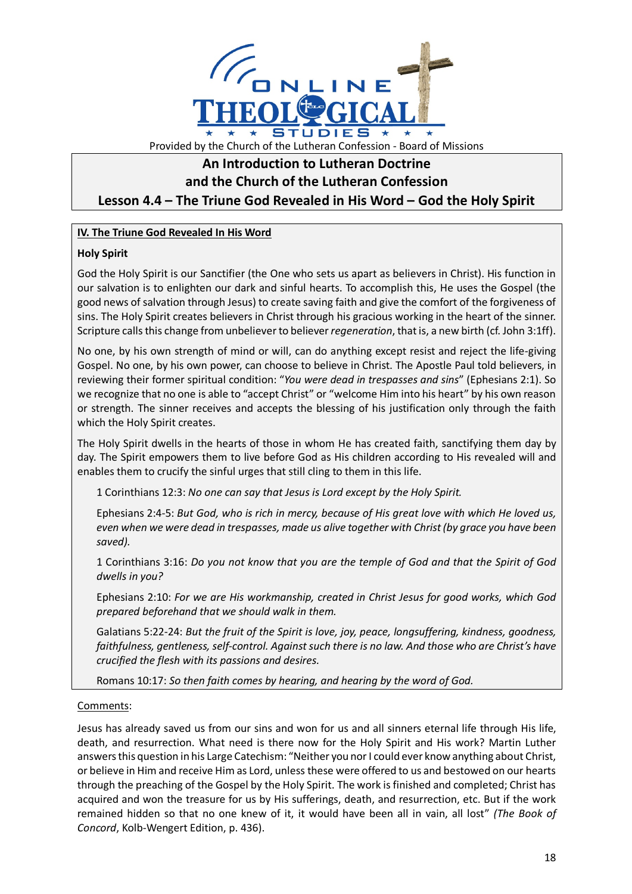

# **An Introduction to Lutheran Doctrine and the Church of the Lutheran Confession Lesson 4.4 – The Triune God Revealed in His Word – God the Holy Spirit**

## **IV. The Triune God Revealed In His Word**

### **Holy Spirit**

God the Holy Spirit is our Sanctifier (the One who sets us apart as believers in Christ). His function in our salvation is to enlighten our dark and sinful hearts. To accomplish this, He uses the Gospel (the good news of salvation through Jesus) to create saving faith and give the comfort of the forgiveness of sins. The Holy Spirit creates believers in Christ through his gracious working in the heart of the sinner. Scripture calls this change from unbeliever to believer *regeneration*, that is, a new birth (cf. John 3:1ff).

No one, by his own strength of mind or will, can do anything except resist and reject the life-giving Gospel. No one, by his own power, can choose to believe in Christ. The Apostle Paul told believers, in reviewing their former spiritual condition: "*You were dead in trespasses and sins*" (Ephesians 2:1). So we recognize that no one is able to "accept Christ" or "welcome Him into his heart" by his own reason or strength. The sinner receives and accepts the blessing of his justification only through the faith which the Holy Spirit creates.

The Holy Spirit dwells in the hearts of those in whom He has created faith, sanctifying them day by day. The Spirit empowers them to live before God as His children according to His revealed will and enables them to crucify the sinful urges that still cling to them in this life.

1 Corinthians 12:3: *No one can say that Jesus is Lord except by the Holy Spirit.*

Ephesians 2:4-5: *But God, who is rich in mercy, because of His great love with which He loved us, even when we were dead in trespasses, made us alive together with Christ (by grace you have been saved).*

1 Corinthians 3:16: *Do you not know that you are the temple of God and that the Spirit of God dwells in you?*

Ephesians 2:10: *For we are His workmanship, created in Christ Jesus for good works, which God prepared beforehand that we should walk in them.*

Galatians 5:22-24: *But the fruit of the Spirit is love, joy, peace, longsuffering, kindness, goodness, faithfulness, gentleness, self-control. Against such there is no law. And those who are Christ's have crucified the flesh with its passions and desires.*

Romans 10:17: *So then faith comes by hearing, and hearing by the word of God.*

### Comments:

Jesus has already saved us from our sins and won for us and all sinners eternal life through His life, death, and resurrection. What need is there now for the Holy Spirit and His work? Martin Luther answers this question in his Large Catechism: "Neither you nor I could ever know anything about Christ, or believe in Him and receive Him as Lord, unless these were offered to us and bestowed on our hearts through the preaching of the Gospel by the Holy Spirit. The work is finished and completed; Christ has acquired and won the treasure for us by His sufferings, death, and resurrection, etc. But if the work remained hidden so that no one knew of it, it would have been all in vain, all lost" *(The Book of Concord*, Kolb-Wengert Edition, p. 436).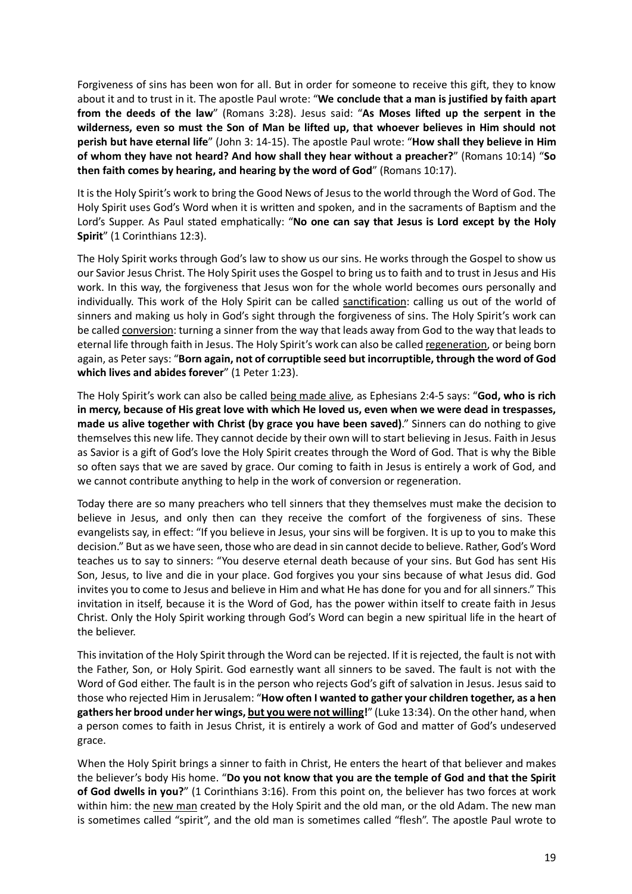Forgiveness of sins has been won for all. But in order for someone to receive this gift, they to know about it and to trust in it. The apostle Paul wrote: "**We conclude that a man is justified by faith apart from the deeds of the law**" (Romans 3:28). Jesus said: "**As Moses lifted up the serpent in the wilderness, even so must the Son of Man be lifted up, that whoever believes in Him should not perish but have eternal life**" (John 3: 14-15). The apostle Paul wrote: "**How shall they believe in Him of whom they have not heard? And how shall they hear without a preacher?**" (Romans 10:14) "**So then faith comes by hearing, and hearing by the word of God**" (Romans 10:17).

It is the Holy Spirit's work to bring the Good News of Jesus to the world through the Word of God. The Holy Spirit uses God's Word when it is written and spoken, and in the sacraments of Baptism and the Lord's Supper. As Paul stated emphatically: "**No one can say that Jesus is Lord except by the Holy Spirit**" (1 Corinthians 12:3).

The Holy Spirit works through God's law to show us our sins. He works through the Gospel to show us our Savior Jesus Christ. The Holy Spirit uses the Gospel to bring us to faith and to trust in Jesus and His work. In this way, the forgiveness that Jesus won for the whole world becomes ours personally and individually. This work of the Holy Spirit can be called sanctification: calling us out of the world of sinners and making us holy in God's sight through the forgiveness of sins. The Holy Spirit's work can be called conversion: turning a sinner from the way that leads away from God to the way that leads to eternal life through faith in Jesus. The Holy Spirit's work can also be called regeneration, or being born again, as Peter says: "**Born again, not of corruptible seed but incorruptible, through the word of God which lives and abides forever**" (1 Peter 1:23).

The Holy Spirit's work can also be called being made alive, as Ephesians 2:4-5 says: "**God, who is rich in mercy, because of His great love with which He loved us, even when we were dead in trespasses, made us alive together with Christ (by grace you have been saved)**." Sinners can do nothing to give themselves this new life. They cannot decide by their own will to start believing in Jesus. Faith in Jesus as Savior is a gift of God's love the Holy Spirit creates through the Word of God. That is why the Bible so often says that we are saved by grace. Our coming to faith in Jesus is entirely a work of God, and we cannot contribute anything to help in the work of conversion or regeneration.

Today there are so many preachers who tell sinners that they themselves must make the decision to believe in Jesus, and only then can they receive the comfort of the forgiveness of sins. These evangelists say, in effect: "If you believe in Jesus, your sins will be forgiven. It is up to you to make this decision." But as we have seen, those who are dead in sin cannot decide to believe. Rather, God's Word teaches us to say to sinners: "You deserve eternal death because of your sins. But God has sent His Son, Jesus, to live and die in your place. God forgives you your sins because of what Jesus did. God invites you to come to Jesus and believe in Him and what He has done for you and for all sinners." This invitation in itself, because it is the Word of God, has the power within itself to create faith in Jesus Christ. Only the Holy Spirit working through God's Word can begin a new spiritual life in the heart of the believer.

This invitation of the Holy Spirit through the Word can be rejected. If it is rejected, the fault is not with the Father, Son, or Holy Spirit. God earnestly want all sinners to be saved. The fault is not with the Word of God either. The fault is in the person who rejects God's gift of salvation in Jesus. Jesus said to those who rejected Him in Jerusalem: "**How often I wanted to gather your children together, as a hen gathers her brood under her wings, but you were not willing!**" (Luke 13:34). On the other hand, when a person comes to faith in Jesus Christ, it is entirely a work of God and matter of God's undeserved grace.

When the Holy Spirit brings a sinner to faith in Christ, He enters the heart of that believer and makes the believer's body His home. "**Do you not know that you are the temple of God and that the Spirit of God dwells in you?**" (1 Corinthians 3:16). From this point on, the believer has two forces at work within him: the new man created by the Holy Spirit and the old man, or the old Adam. The new man is sometimes called "spirit", and the old man is sometimes called "flesh". The apostle Paul wrote to